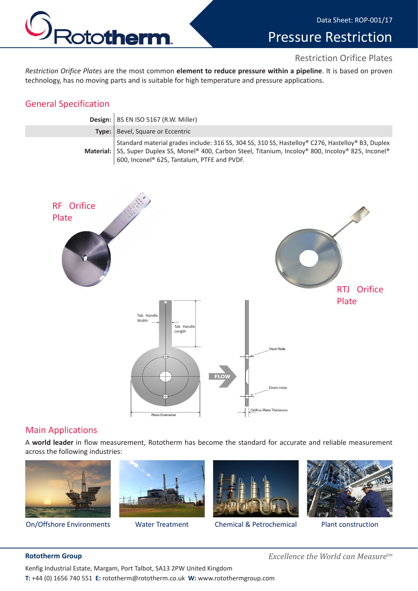

# Pressure Restriction

#### Restriction Orifice Plates

*Restriction Orifice Plates* are the most common **element to reduce pressure within a pipeline**. It is based on proven technology, has no moving parts and is suitable for high temperature and pressure applications.

### General Specification

| Design:   BS EN ISO 5167 (R.W. Miller)                                                                                                                                                                                                                     |
|------------------------------------------------------------------------------------------------------------------------------------------------------------------------------------------------------------------------------------------------------------|
| Type:   Bevel, Square or Eccentric                                                                                                                                                                                                                         |
| Standard material grades include: 316 SS, 304 SS, 310 SS, Hastelloy® C276, Hastelloy® B3, Duplex<br>Material: SS, Super Duplex SS, Monel® 400, Carbon Steel, Titanium, Incoloy® 800, Incoloy® 825, Inconel®<br>600, Inconel® 625, Tantalum, PTFE and PVDF. |



#### Main Applications

A **world leader** in flow measurement, Rototherm has become the standard for accurate and reliable measurement across the following industries:







On/Offshore Environments Water Treatment Chemical & Petrochemical Plant construction



**Rototherm Group** *Excellence the World can Measuretm*

Kenfig Industrial Estate, Margam, Port Talbot, SA13 2PW United Kingdom **T:** +44 (0) 1656 740 551 **E:** rototherm@rototherm.co.uk **W:** www.rotothermgroup.com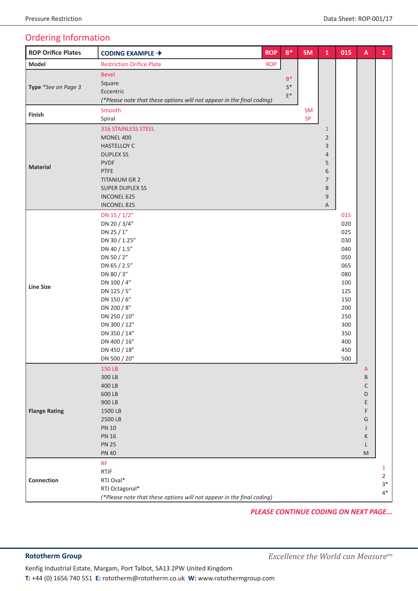### Ordering Information

| <b>ROP Orifice Plates</b> | CODING EXAMPLE →                                                      | <b>ROP</b> | $\mathsf{B}^*$          | <b>SM</b> | ${\bf 1}$      | 015 | $\boldsymbol{\mathsf{A}}$ | $\mathbf{1}$   |
|---------------------------|-----------------------------------------------------------------------|------------|-------------------------|-----------|----------------|-----|---------------------------|----------------|
| Model                     | <b>Restriction Orifice Plate</b>                                      | <b>ROP</b> |                         |           |                |     |                           |                |
|                           | <b>Bevel</b>                                                          |            |                         |           |                |     |                           |                |
| Type *See on Page 3       | Square                                                                |            | $B^*$                   |           |                |     |                           |                |
|                           | Eccentric                                                             |            | $S^*$<br>$\mathsf{E}^*$ |           |                |     |                           |                |
|                           | (*Please note that these options will not appear in the final coding) |            |                         |           |                |     |                           |                |
| Finish                    | Smooth                                                                |            |                         | <b>SM</b> |                |     |                           |                |
|                           | Spiral                                                                |            |                         | <b>SP</b> |                |     |                           |                |
|                           | <b>316 STAINLESS STEEL</b>                                            |            |                         |           | $\mathbf{1}$   |     |                           |                |
|                           | <b>MONEL 400</b>                                                      |            |                         |           | $\overline{2}$ |     |                           |                |
|                           | <b>HASTELLOY C</b>                                                    |            |                         |           | 3              |     |                           |                |
|                           | <b>DUPLEX SS</b>                                                      |            |                         |           | $\overline{4}$ |     |                           |                |
| <b>Material</b>           | <b>PVDF</b>                                                           |            |                         |           | 5              |     |                           |                |
|                           | PTFE                                                                  |            |                         |           | 6              |     |                           |                |
|                           | <b>TITANIUM GR 2</b>                                                  |            |                         |           | $\overline{7}$ |     |                           |                |
|                           | <b>SUPER DUPLEX SS</b>                                                |            |                         |           | 8              |     |                           |                |
|                           | <b>INCONEL 625</b>                                                    |            |                         |           | 9              |     |                           |                |
|                           | <b>INCONEL 825</b>                                                    |            |                         |           | A              |     |                           |                |
|                           | DN 15 / 1/2"                                                          |            |                         |           |                | 015 |                           |                |
|                           | DN 20 / 3/4"                                                          |            |                         |           |                | 020 |                           |                |
|                           | DN 25 / 1"                                                            |            |                         |           |                | 025 |                           |                |
|                           | DN 30 / 1.25"                                                         |            |                         |           |                | 030 |                           |                |
|                           | DN 40 / 1.5"                                                          |            |                         |           |                | 040 |                           |                |
|                           | DN 50 / 2"                                                            |            |                         |           |                | 050 |                           |                |
|                           | DN 65 / 2.5"                                                          |            |                         |           |                | 065 |                           |                |
|                           | DN 80 / 3"                                                            |            |                         |           |                | 080 |                           |                |
|                           | DN 100 / 4"                                                           |            |                         |           |                | 100 |                           |                |
| <b>Line Size</b>          | DN 125 / 5"                                                           |            |                         |           |                | 125 |                           |                |
|                           | DN 150 / 6"                                                           |            |                         |           |                | 150 |                           |                |
|                           | DN 200 / 8"                                                           |            |                         |           |                | 200 |                           |                |
|                           | DN 250 / 10"                                                          |            |                         |           |                | 250 |                           |                |
|                           | DN 300 / 12"                                                          |            |                         |           |                | 300 |                           |                |
|                           | DN 350 / 14"                                                          |            |                         |           |                | 350 |                           |                |
|                           | DN 400 / 16"                                                          |            |                         |           |                | 400 |                           |                |
|                           | DN 450 / 18"                                                          |            |                         |           |                | 450 |                           |                |
|                           | DN 500 / 20"                                                          |            |                         |           |                | 500 |                           |                |
| <b>Flange Rating</b>      | 150 LB                                                                |            |                         |           |                |     | $\mathsf{A}$              |                |
|                           | 300 LB                                                                |            |                         |           |                |     | Β                         |                |
|                           | 400 LB                                                                |            |                         |           |                |     | С                         |                |
|                           | 600 LB                                                                |            |                         |           |                |     | D                         |                |
|                           | 900 LB                                                                |            |                         |           |                |     | Ε                         |                |
|                           | 1500 LB                                                               |            |                         |           |                |     | F                         |                |
|                           | 2500 LB                                                               |            |                         |           |                |     | G                         |                |
|                           | <b>PN 10</b>                                                          |            |                         |           |                |     | J                         |                |
|                           | <b>PN 16</b>                                                          |            |                         |           |                |     | К                         |                |
|                           | <b>PN 25</b>                                                          |            |                         |           |                |     | L                         |                |
|                           | <b>PN 40</b>                                                          |            |                         |           |                |     | M                         |                |
|                           | <b>RF</b>                                                             |            |                         |           |                |     |                           | $\mathbf{1}$   |
|                           | <b>RTJF</b>                                                           |            |                         |           |                |     |                           | $\overline{2}$ |
| Connection                | RTJ Oval*                                                             |            |                         |           |                |     |                           | $3*$           |
|                           | RTJ Octagonal*                                                        |            |                         |           |                |     |                           | $4^*$          |
|                           | (*Please note that these options will not appear in the final coding) |            |                         |           |                |     |                           |                |

*PLEASE CONTINUE CODING ON NEXT PAGE...*

Kenfig Industrial Estate, Margam, Port Talbot, SA13 2PW United Kingdom **T:** +44 (0) 1656 740 551 **E:** rototherm@rototherm.co.uk **W:** www.rotothermgroup.com